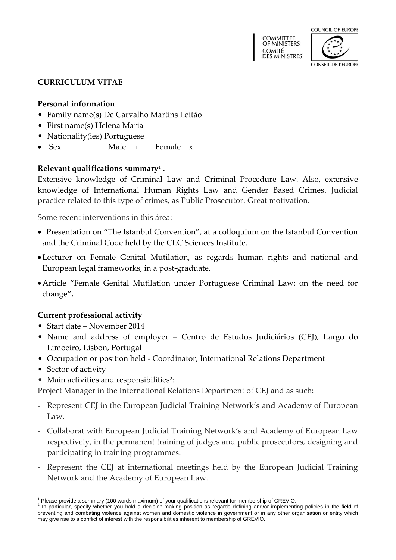



#### **CURRICULUM VITAE**

### **Personal information**

- Family name(s) De Carvalho Martins Leitão
- First name(s) Helena Maria
- Nationality(ies) Portuguese
- Sex Male □ Female x

## **Relevant qualifications summary<sup>1</sup> .**

Extensive knowledge of Criminal Law and Criminal Procedure Law. Also, extensive knowledge of International Human Rights Law and Gender Based Crimes. Judicial practice related to this type of crimes, as Public Prosecutor. Great motivation.

Some recent interventions in this área:

- Presentation on "The Istanbul Convention", at a colloquium on the Istanbul Convention and the Criminal Code held by the CLC Sciences Institute.
- Lecturer on Female Genital Mutilation, as regards human rights and national and European legal frameworks, in a post-graduate.
- Article "Female Genital Mutilation under Portuguese Criminal Law: on the need for change**".**

### **Current professional activity**

- Start date November 2014
- Name and address of employer Centro de Estudos Judiciários (CEJ), Largo do Limoeiro, Lisbon, Portugal
- Occupation or position held Coordinator, International Relations Department
- Sector of activity
- Main activities and responsibilities<sup>2</sup>:

Project Manager in the International Relations Department of CEJ and as such:

- Represent CEJ in the European Judicial Training Network's and Academy of European Law.
- Collaborat with European Judicial Training Network's and Academy of European Law respectively, in the permanent training of judges and public prosecutors, designing and participating in training programmes.
- Represent the CEJ at international meetings held by the European Judicial Training Network and the Academy of European Law.

<sup>-</sup><sup>1</sup> Please provide a summary (100 words maximum) of your qualifications relevant for membership of GREVIO.

 $2$  In particular, specify whether you hold a decision-making position as regards defining and/or implementing policies in the field of preventing and combating violence against women and domestic violence in government or in any other organisation or entity which may give rise to a conflict of interest with the responsibilities inherent to membership of GREVIO.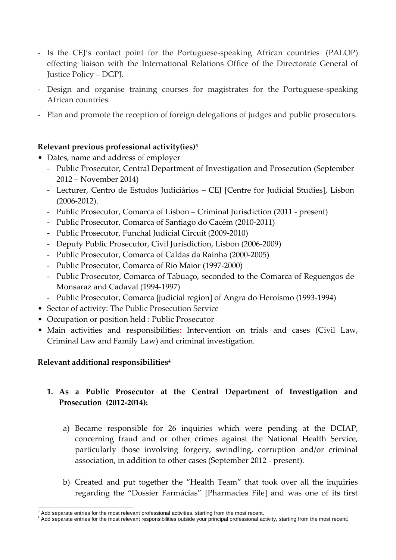- Is the CEJ's contact point for the Portuguese-speaking African countries (PALOP) effecting liaison with the International Relations Office of the Directorate General of Justice Policy – DGPJ.
- Design and organise training courses for magistrates for the Portuguese-speaking African countries.
- Plan and promote the reception of foreign delegations of judges and public prosecutors.

## **Relevant previous professional activity(ies)<sup>3</sup>**

- Dates, name and address of employer
	- Public Prosecutor, Central Department of Investigation and Prosecution (September 2012 – November 2014)
	- Lecturer, Centro de Estudos Judiciários CEJ [Centre for Judicial Studies], Lisbon (2006-2012).
	- Public Prosecutor, Comarca of Lisbon Criminal Jurisdiction (2011 present)
	- Public Prosecutor, Comarca of Santiago do Cacém (2010-2011)
	- Public Prosecutor, Funchal Judicial Circuit (2009-2010)
	- Deputy Public Prosecutor, Civil Jurisdiction, Lisbon (2006-2009)
	- Public Prosecutor, Comarca of Caldas da Rainha (2000-2005)
	- Public Prosecutor, Comarca of Rio Maior (1997-2000)
	- Public Prosecutor, Comarca of Tabuaço, seconded to the Comarca of Reguengos de Monsaraz and Cadaval (1994-1997)
	- Public Prosecutor, Comarca [judicial region] of Angra do Heroísmo (1993-1994)
- Sector of activity: The Public Prosecution Service
- Occupation or position held : Public Prosecutor
- Main activities and responsibilities: Intervention on trials and cases (Civil Law, Criminal Law and Family Law) and criminal investigation.

## **Relevant additional responsibilities<sup>4</sup>**

# **1. As a Public Prosecutor at the Central Department of Investigation and Prosecution (2012-2014):**

- a) Became responsible for 26 inquiries which were pending at the DCIAP, concerning fraud and or other crimes against the National Health Service, particularly those involving forgery, swindling, corruption and/or criminal association, in addition to other cases (September 2012 - present).
- b) Created and put together the "Health Team" that took over all the inquiries regarding the "Dossier Farmácias" [Pharmacies File] and was one of its first

<sup>-</sup> $3$  Add separate entries for the most relevant professional activities, starting from the most recent.

<sup>&</sup>lt;sup>4</sup> Add separate entries for the most relevant responsibilities outside your principal professional activity, starting from the most recent.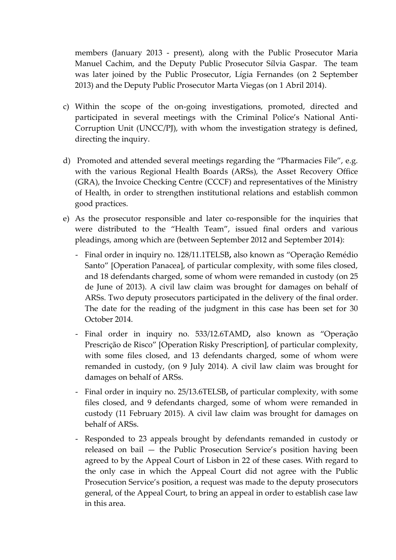members (January 2013 - present), along with the Public Prosecutor Maria Manuel Cachim, and the Deputy Public Prosecutor Sílvia Gaspar. The team was later joined by the Public Prosecutor, Lígia Fernandes (on 2 September 2013) and the Deputy Public Prosecutor Marta Viegas (on 1 Abril 2014).

- c) Within the scope of the on-going investigations, promoted, directed and participated in several meetings with the Criminal Police's National Anti-Corruption Unit (UNCC/PJ), with whom the investigation strategy is defined, directing the inquiry.
- d) Promoted and attended several meetings regarding the "Pharmacies File", e.g. with the various Regional Health Boards (ARSs), the Asset Recovery Office (GRA), the Invoice Checking Centre (CCCF) and representatives of the Ministry of Health, in order to strengthen institutional relations and establish common good practices.
- e) As the prosecutor responsible and later co-responsible for the inquiries that were distributed to the "Health Team", issued final orders and various pleadings, among which are (between September 2012 and September 2014):
	- Final order in inquiry no. 128/11.1TELSB**,** also known as "Operação Remédio Santo" [Operation Panacea], of particular complexity, with some files closed, and 18 defendants charged, some of whom were remanded in custody (on 25 de June of 2013). A civil law claim was brought for damages on behalf of ARSs. Two deputy prosecutors participated in the delivery of the final order. The date for the reading of the judgment in this case has been set for 30 October 2014.
	- Final order in inquiry no. 533/12.6TAMD**,** also known as "Operação Prescrição de Risco" [Operation Risky Prescription], of particular complexity, with some files closed, and 13 defendants charged, some of whom were remanded in custody, (on 9 July 2014). A civil law claim was brought for damages on behalf of ARSs.
	- Final order in inquiry no. 25/13.6TELSB**,** of particular complexity, with some files closed, and 9 defendants charged, some of whom were remanded in custody (11 February 2015). A civil law claim was brought for damages on behalf of ARSs.
	- Responded to 23 appeals brought by defendants remanded in custody or released on bail — the Public Prosecution Service's position having been agreed to by the Appeal Court of Lisbon in 22 of these cases. With regard to the only case in which the Appeal Court did not agree with the Public Prosecution Service's position, a request was made to the deputy prosecutors general, of the Appeal Court, to bring an appeal in order to establish case law in this area.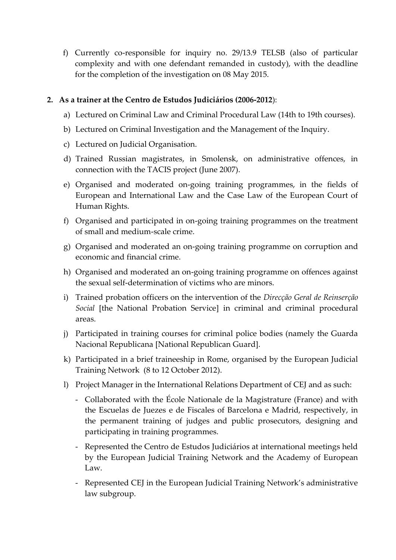f) Currently co-responsible for inquiry no. 29/13.9 TELSB (also of particular complexity and with one defendant remanded in custody), with the deadline for the completion of the investigation on 08 May 2015.

### **2. As a trainer at the Centro de Estudos Judiciários (2006-2012**):

- a) Lectured on Criminal Law and Criminal Procedural Law (14th to 19th courses).
- b) Lectured on Criminal Investigation and the Management of the Inquiry.
- c) Lectured on Judicial Organisation.
- d) Trained Russian magistrates, in Smolensk, on administrative offences, in connection with the TACIS project (June 2007).
- e) Organised and moderated on-going training programmes, in the fields of European and International Law and the Case Law of the European Court of Human Rights.
- f) Organised and participated in on-going training programmes on the treatment of small and medium-scale crime.
- g) Organised and moderated an on-going training programme on corruption and economic and financial crime.
- h) Organised and moderated an on-going training programme on offences against the sexual self-determination of victims who are minors.
- i) Trained probation officers on the intervention of the *Direcção Geral de Reinserção Social* [the National Probation Service] in criminal and criminal procedural areas.
- j) Participated in training courses for criminal police bodies (namely the Guarda Nacional Republicana [National Republican Guard].
- k) Participated in a brief traineeship in Rome, organised by the European Judicial Training Network (8 to 12 October 2012).
- l) Project Manager in the International Relations Department of CEJ and as such:
	- Collaborated with the École Nationale de la Magistrature (France) and with the Escuelas de Juezes e de Fiscales of Barcelona e Madrid, respectively, in the permanent training of judges and public prosecutors, designing and participating in training programmes.
	- Represented the Centro de Estudos Judiciários at international meetings held by the European Judicial Training Network and the Academy of European Law.
	- Represented CEJ in the European Judicial Training Network's administrative law subgroup.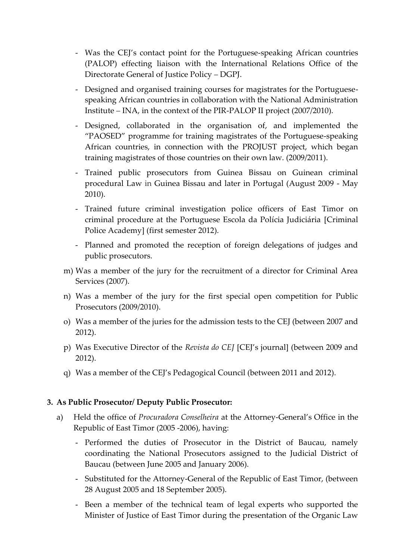- Was the CEJ's contact point for the Portuguese-speaking African countries (PALOP) effecting liaison with the International Relations Office of the Directorate General of Justice Policy – DGPJ.
- Designed and organised training courses for magistrates for the Portuguesespeaking African countries in collaboration with the National Administration Institute – INA, in the context of the PIR-PALOP II project (2007/2010).
- Designed, collaborated in the organisation of, and implemented the "PAOSED" programme for training magistrates of the Portuguese-speaking African countries, in connection with the PROJUST project, which began training magistrates of those countries on their own law. (2009/2011).
- Trained public prosecutors from Guinea Bissau on Guinean criminal procedural Law in Guinea Bissau and later in Portugal (August 2009 - May 2010).
- Trained future criminal investigation police officers of East Timor on criminal procedure at the Portuguese Escola da Polícia Judiciária [Criminal Police Academy] (first semester 2012).
- Planned and promoted the reception of foreign delegations of judges and public prosecutors.
- m) Was a member of the jury for the recruitment of a director for Criminal Area Services (2007).
- n) Was a member of the jury for the first special open competition for Public Prosecutors (2009/2010).
- o) Was a member of the juries for the admission tests to the CEJ (between 2007 and 2012).
- p) Was Executive Director of the *Revista do CEJ* [CEJ's journal] (between 2009 and 2012).
- q) Was a member of the CEJ's Pedagogical Council (between 2011 and 2012).

### **3. As Public Prosecutor/ Deputy Public Prosecutor:**

- a) Held the office of *Procuradora Conselheira* at the Attorney-General's Office in the Republic of East Timor (2005 -2006), having:
	- Performed the duties of Prosecutor in the District of Baucau, namely coordinating the National Prosecutors assigned to the Judicial District of Baucau (between June 2005 and January 2006).
	- Substituted for the Attorney-General of the Republic of East Timor, (between 28 August 2005 and 18 September 2005).
	- Been a member of the technical team of legal experts who supported the Minister of Justice of East Timor during the presentation of the Organic Law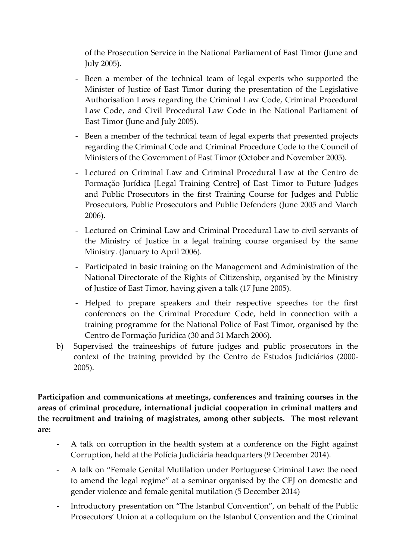of the Prosecution Service in the National Parliament of East Timor (June and July 2005).

- Been a member of the technical team of legal experts who supported the Minister of Justice of East Timor during the presentation of the Legislative Authorisation Laws regarding the Criminal Law Code, Criminal Procedural Law Code, and Civil Procedural Law Code in the National Parliament of East Timor (June and July 2005).
- Been a member of the technical team of legal experts that presented projects regarding the Criminal Code and Criminal Procedure Code to the Council of Ministers of the Government of East Timor (October and November 2005).
- Lectured on Criminal Law and Criminal Procedural Law at the Centro de Formação Jurídica [Legal Training Centre] of East Timor to Future Judges and Public Prosecutors in the first Training Course for Judges and Public Prosecutors, Public Prosecutors and Public Defenders (June 2005 and March 2006).
- Lectured on Criminal Law and Criminal Procedural Law to civil servants of the Ministry of Justice in a legal training course organised by the same Ministry. (January to April 2006).
- Participated in basic training on the Management and Administration of the National Directorate of the Rights of Citizenship, organised by the Ministry of Justice of East Timor, having given a talk (17 June 2005).
- Helped to prepare speakers and their respective speeches for the first conferences on the Criminal Procedure Code, held in connection with a training programme for the National Police of East Timor, organised by the Centro de Formação Jurídica (30 and 31 March 2006).
- b) Supervised the traineeships of future judges and public prosecutors in the context of the training provided by the Centro de Estudos Judiciários (2000- 2005).

**Participation and communications at meetings, conferences and training courses in the areas of criminal procedure, international judicial cooperation in criminal matters and the recruitment and training of magistrates, among other subjects. The most relevant are:**

- A talk on corruption in the health system at a conference on the Fight against Corruption, held at the Polícia Judiciária headquarters (9 December 2014).
- A talk on "Female Genital Mutilation under Portuguese Criminal Law: the need to amend the legal regime" at a seminar organised by the CEJ on domestic and gender violence and female genital mutilation (5 December 2014)
- Introductory presentation on "The Istanbul Convention", on behalf of the Public Prosecutors' Union at a colloquium on the Istanbul Convention and the Criminal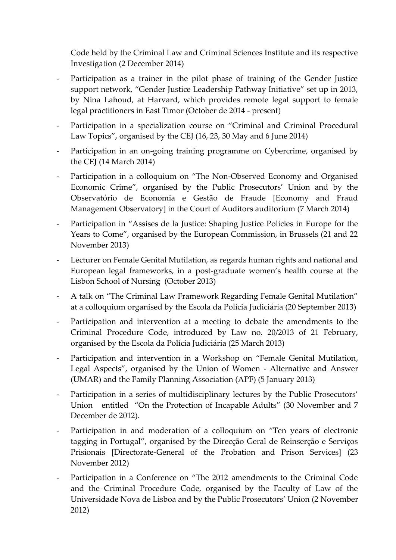Code held by the Criminal Law and Criminal Sciences Institute and its respective Investigation (2 December 2014)

- Participation as a trainer in the pilot phase of training of the Gender Justice support network, "Gender Justice Leadership Pathway Initiative" set up in 2013, by Nina Lahoud, at Harvard, which provides remote legal support to female legal practitioners in East Timor (October de 2014 - present)
- Participation in a specialization course on "Criminal and Criminal Procedural Law Topics", organised by the CEJ (16, 23, 30 May and 6 June 2014)
- Participation in an on-going training programme on Cybercrime, organised by the CEJ (14 March 2014)
- Participation in a colloquium on "The Non-Observed Economy and Organised Economic Crime", organised by the Public Prosecutors' Union and by the Observatório de Economia e Gestão de Fraude [Economy and Fraud Management Observatory] in the Court of Auditors auditorium (7 March 2014)
- Participation in "Assises de la Justice: Shaping Justice Policies in Europe for the Years to Come", organised by the European Commission, in Brussels (21 and 22 November 2013)
- Lecturer on Female Genital Mutilation, as regards human rights and national and European legal frameworks, in a post-graduate women's health course at the Lisbon School of Nursing (October 2013)
- A talk on "The Criminal Law Framework Regarding Female Genital Mutilation" at a colloquium organised by the Escola da Polícia Judiciária (20 September 2013)
- Participation and intervention at a meeting to debate the amendments to the Criminal Procedure Code, introduced by Law no. 20/2013 of 21 February, organised by the Escola da Polícia Judiciária (25 March 2013)
- Participation and intervention in a Workshop on "Female Genital Mutilation, Legal Aspects", organised by the Union of Women - Alternative and Answer (UMAR) and the Family Planning Association (APF) (5 January 2013)
- Participation in a series of multidisciplinary lectures by the Public Prosecutors' Union entitled "On the Protection of Incapable Adults" (30 November and 7 December de 2012).
- Participation in and moderation of a colloquium on "Ten years of electronic tagging in Portugal", organised by the Direcção Geral de Reinserção e Serviços Prisionais [Directorate-General of the Probation and Prison Services] (23 November 2012)
- Participation in a Conference on "The 2012 amendments to the Criminal Code and the Criminal Procedure Code, organised by the Faculty of Law of the Universidade Nova de Lisboa and by the Public Prosecutors' Union (2 November 2012)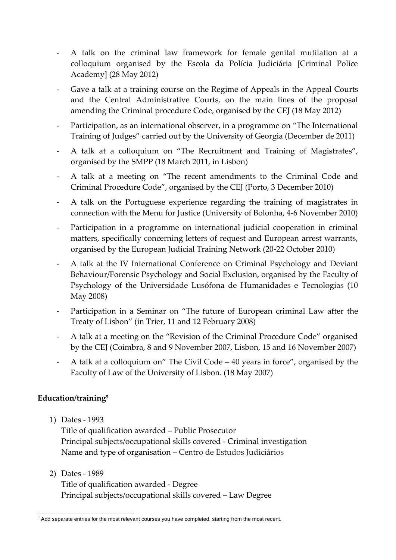- A talk on the criminal law framework for female genital mutilation at a colloquium organised by the Escola da Polícia Judiciária [Criminal Police Academy] (28 May 2012)
- Gave a talk at a training course on the Regime of Appeals in the Appeal Courts and the Central Administrative Courts, on the main lines of the proposal amending the Criminal procedure Code, organised by the CEJ (18 May 2012)
- Participation, as an international observer, in a programme on "The International Training of Judges" carried out by the University of Georgia (December de 2011)
- A talk at a colloquium on "The Recruitment and Training of Magistrates", organised by the SMPP (18 March 2011, in Lisbon)
- A talk at a meeting on "The recent amendments to the Criminal Code and Criminal Procedure Code", organised by the CEJ (Porto, 3 December 2010)
- A talk on the Portuguese experience regarding the training of magistrates in connection with the Menu for Justice (University of Bolonha, 4-6 November 2010)
- Participation in a programme on international judicial cooperation in criminal matters, specifically concerning letters of request and European arrest warrants, organised by the European Judicial Training Network (20-22 October 2010)
- A talk at the IV International Conference on Criminal Psychology and Deviant Behaviour/Forensic Psychology and Social Exclusion, organised by the Faculty of Psychology of the Universidade Lusófona de Humanidades e Tecnologias (10 May 2008)
- Participation in a Seminar on "The future of European criminal Law after the Treaty of Lisbon" (in Trier, 11 and 12 February 2008)
- A talk at a meeting on the "Revision of the Criminal Procedure Code" organised by the CEJ (Coimbra, 8 and 9 November 2007, Lisbon, 15 and 16 November 2007)
- A talk at a colloquium on" The Civil Code 40 years in force", organised by the Faculty of Law of the University of Lisbon. (18 May 2007)

## **Education/training<sup>5</sup>**

1) Dates - 1993

Title of qualification awarded – Public Prosecutor Principal subjects/occupational skills covered - Criminal investigation Name and type of organisation – Centro de Estudos Judiciários

2) Dates - 1989 Title of qualification awarded - Degree Principal subjects/occupational skills covered – Law Degree

<sup>-</sup><sup>5</sup> Add separate entries for the most relevant courses you have completed, starting from the most recent.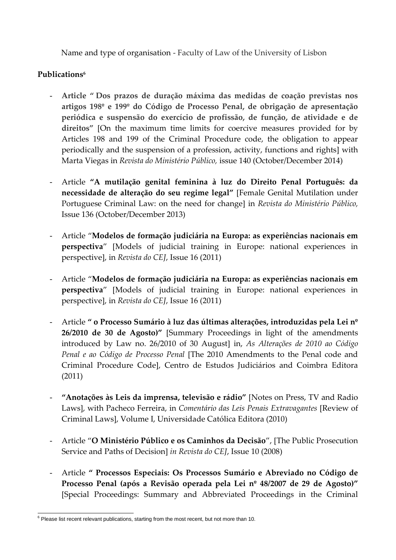Name and type of organisation - Faculty of Law of the University of Lisbon

### **Publications<sup>6</sup>**

- **Article " Dos prazos de duração máxima das medidas de coação previstas nos artigos 198º e 199º do Código de Processo Penal, de obrigação de apresentação periódica e suspensão do exercício de profissão, de função, de atividade e de direitos"** [On the maximum time limits for coercive measures provided for by Articles 198 and 199 of the Criminal Procedure code, the obligation to appear periodically and the suspension of a profession, activity, functions and rights] with Marta Viegas in *Revista do Ministério Público,* issue 140 (October/December 2014)
- Article **"A mutilação genital feminina à luz do Direito Penal Português: da necessidade de alteração do seu regime legal"** [Female Genital Mutilation under Portuguese Criminal Law: on the need for change] in *Revista do Ministério Público,* Issue 136 (October/December 2013)
- Article "**Modelos de formação judiciária na Europa: as experiências nacionais em perspectiva**" [Models of judicial training in Europe: national experiences in perspective], in *Revista do CEJ*, Issue 16 (2011)
- Article "**Modelos de formação judiciária na Europa: as experiências nacionais em perspectiva**" [Models of judicial training in Europe: national experiences in perspective], in *Revista do CEJ*, Issue 16 (2011)
- Article **" o Processo Sumário à luz das últimas alterações, introduzidas pela Lei nº 26/2010 de 30 de Agosto)"** [Summary Proceedings in light of the amendments introduced by Law no. 26/2010 of 30 August] in, *As Alterações de 2010 ao Código Penal e ao Código de Processo Penal* [The 2010 Amendments to the Penal code and Criminal Procedure Code], Centro de Estudos Judiciários and Coimbra Editora (2011)
- **"Anotações às Leis da imprensa, televisão e rádio"** [Notes on Press, TV and Radio Laws], with Pacheco Ferreira, in *Comentário das Leis Penais Extravagantes* [Review of Criminal Laws], Volume I, Universidade Católica Editora (2010)
- Article "**O Ministério Público e os Caminhos da Decisão**", [The Public Prosecution Service and Paths of Decision] *in Revista do CEJ*, Issue 10 (2008)
- Article **" Processos Especiais: Os Processos Sumário e Abreviado no Código de Processo Penal (após a Revisão operada pela Lei nº 48/2007 de 29 de Agosto)"**  [Special Proceedings: Summary and Abbreviated Proceedings in the Criminal

<sup>-</sup> $6$  Please list recent relevant publications, starting from the most recent, but not more than 10.